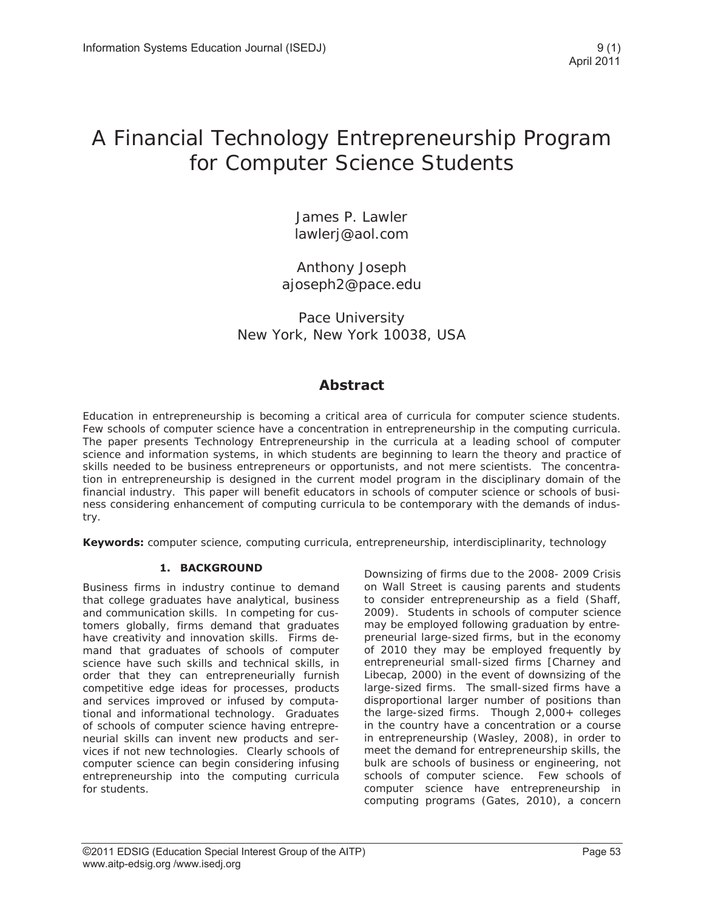# A Financial Technology Entrepreneurship Program for Computer Science Students

James P. Lawler lawlerj@aol.com

Anthony Joseph ajoseph2@pace.edu

Pace University New York, New York 10038, USA

# **Abstract**

Education in entrepreneurship is becoming a critical area of curricula for computer science students. Few schools of computer science have a concentration in entrepreneurship in the computing curricula. The paper presents Technology Entrepreneurship in the curricula at a leading school of computer science and information systems, in which students are beginning to learn the theory and practice of skills needed to be business entrepreneurs or opportunists, and not mere scientists. The concentration in entrepreneurship is designed in the current model program in the disciplinary domain of the financial industry. This paper will benefit educators in schools of computer science or schools of business considering enhancement of computing curricula to be contemporary with the demands of industry.

**Keywords:** computer science, computing curricula, entrepreneurship, interdisciplinarity, technology

# **1. BACKGROUND**

Business firms in industry continue to demand that college graduates have analytical, business and communication skills. In competing for customers globally, firms demand that graduates have creativity and innovation skills. Firms demand that graduates of schools of computer science have such skills and technical skills, in order that they can entrepreneurially furnish competitive edge ideas for processes, products and services improved or infused by computational and informational technology. Graduates of schools of computer science having entrepreneurial skills can invent new products and services if not new technologies. Clearly schools of computer science can begin considering infusing entrepreneurship into the computing curricula for students.

Downsizing of firms due to the 2008- 2009 Crisis on Wall Street is causing parents and students to consider entrepreneurship as a field (Shaff, 2009). Students in schools of computer science may be employed following graduation by entrepreneurial large-sized firms, but in the economy of 2010 they may be employed frequently by entrepreneurial small-sized firms [Charney and Libecap, 2000) in the event of downsizing of the large-sized firms. The small-sized firms have a disproportional larger number of positions than the large-sized firms. Though 2,000+ colleges in the country have a concentration or a course in entrepreneurship (Wasley, 2008), in order to meet the demand for entrepreneurship skills, the bulk are schools of business or engineering, not schools of computer science. Few schools of computer science have entrepreneurship in computing programs (Gates, 2010), a concern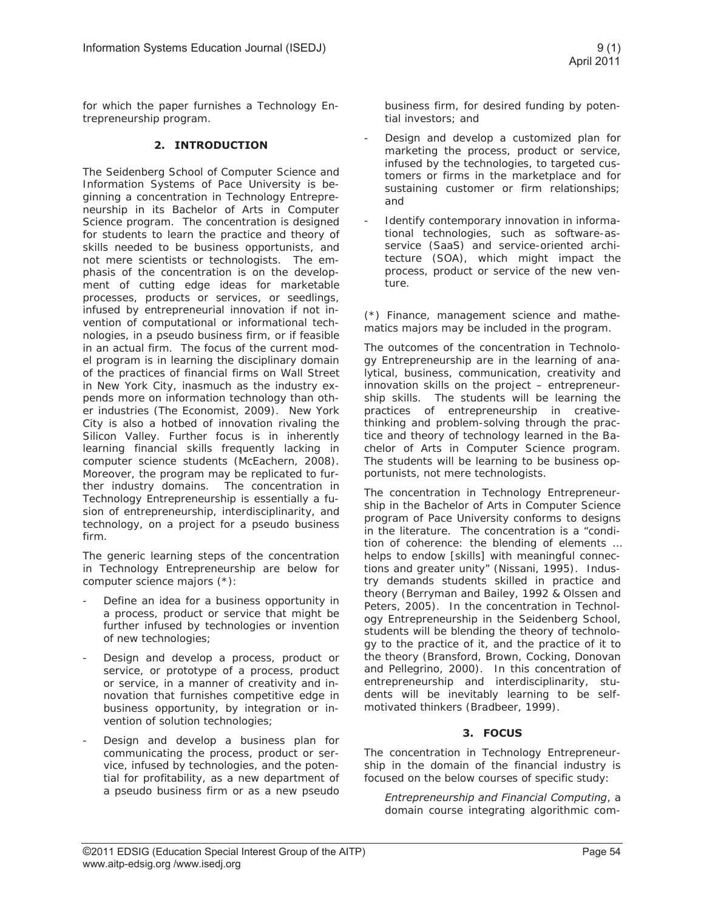for which the paper furnishes a Technology Entrepreneurship program.

# **2. INTRODUCTION**

The Seidenberg School of Computer Science and Information Systems of Pace University is beginning a concentration in Technology Entrepreneurship in its Bachelor of Arts in Computer Science program. The concentration is designed for students to learn the practice and theory of skills needed to be business opportunists, and not mere scientists or technologists. The emphasis of the concentration is on the development of cutting edge ideas for marketable processes, products or services, or seedlings, infused by entrepreneurial innovation if not invention of computational or informational technologies, in a pseudo business firm, or if feasible in an actual firm. The focus of the current model program is in learning the disciplinary domain of the practices of financial firms on Wall Street in New York City, inasmuch as the industry expends more on information technology than other industries (The Economist, 2009). New York City is also a hotbed of innovation rivaling the Silicon Valley. Further focus is in inherently learning financial skills frequently lacking in computer science students (McEachern, 2008). Moreover, the program may be replicated to further industry domains. The concentration in Technology Entrepreneurship is essentially a fusion of entrepreneurship, interdisciplinarity, and technology, on a project for a pseudo business firm.

The generic learning steps of the concentration in Technology Entrepreneurship are below for computer science majors (\*):

- Define an idea for a business opportunity in a process, product or service that might be further infused by technologies or invention of new technologies;
- Design and develop a process, product or service, or prototype of a process, product or service, in a manner of creativity and innovation that furnishes competitive edge in business opportunity, by integration or invention of solution technologies;
- Design and develop a business plan for communicating the process, product or service, infused by technologies, and the potential for profitability, as a new department of a pseudo business firm or as a new pseudo

business firm, for desired funding by potential investors; and

- Design and develop a customized plan for marketing the process, product or service, infused by the technologies, to targeted customers or firms in the marketplace and for sustaining customer or firm relationships; and
- Identify contemporary innovation in informational technologies, such as software-asservice (SaaS) and service-oriented architecture (SOA), which might impact the process, product or service of the new venture.

(\*) Finance, management science and mathematics majors may be included in the program.

The outcomes of the concentration in Technology Entrepreneurship are in the learning of analytical, business, communication, creativity and innovation skills on the project – entrepreneurship skills. The students will be learning the practices of entrepreneurship in creativethinking and problem-solving through the practice and theory of technology learned in the Bachelor of Arts in Computer Science program. The students will be learning to be business opportunists, not mere technologists.

The concentration in Technology Entrepreneurship in the Bachelor of Arts in Computer Science program of Pace University conforms to designs in the literature. The concentration is a "condition of coherence: the blending of elements … helps to endow [skills] with meaningful connections and greater unity" (Nissani, 1995). Industry demands students skilled in practice and theory (Berryman and Bailey, 1992 & Olssen and Peters, 2005). In the concentration in Technology Entrepreneurship in the Seidenberg School, students will be blending the theory of technology to the practice of it, and the practice of it to the theory (Bransford, Brown, Cocking, Donovan and Pellegrino, 2000). In this concentration of entrepreneurship and interdisciplinarity, students will be inevitably learning to be selfmotivated thinkers (Bradbeer, 1999).

# **3. FOCUS**

The concentration in Technology Entrepreneurship in the domain of the financial industry is focused on the below courses of specific study:

*Entrepreneurship and Financial Computing*, a domain course integrating algorithmic com-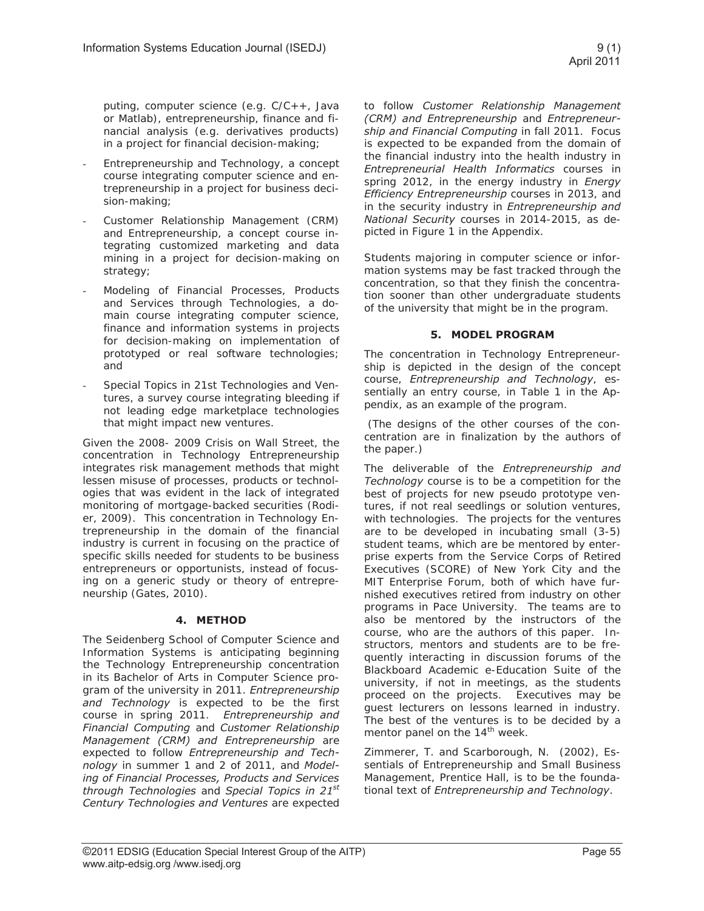puting, computer science (e.g. C/C++, Java or Matlab), entrepreneurship, finance and financial analysis (e.g. derivatives products) in a project for financial decision-making;

- Entrepreneurship and Technology, a concept course integrating computer science and entrepreneurship in a project for business decision-making;
- Customer Relationship Management (CRM) and Entrepreneurship, a concept course integrating customized marketing and data mining in a project for decision-making on strategy;
- Modeling of Financial Processes, Products and Services through Technologies, a domain course integrating computer science, finance and information systems in projects for decision-making on implementation of prototyped or real software technologies; and
- Special Topics in 21st Technologies and Ventures, a survey course integrating bleeding if not leading edge marketplace technologies that might impact new ventures.

Given the 2008- 2009 Crisis on Wall Street, the concentration in Technology Entrepreneurship integrates risk management methods that might lessen misuse of processes, products or technologies that was evident in the lack of integrated monitoring of mortgage-backed securities (Rodier, 2009). This concentration in Technology Entrepreneurship in the domain of the financial industry is current in focusing on the practice of specific skills needed for students to be business entrepreneurs or opportunists, instead of focusing on a generic study or theory of entrepreneurship (Gates, 2010).

# **4. METHOD**

The Seidenberg School of Computer Science and Information Systems is anticipating beginning the Technology Entrepreneurship concentration in its Bachelor of Arts in Computer Science program of the university in 2011. *Entrepreneurship and Technology* is expected to be the first course in spring 2011. *Entrepreneurship and Financial Computing* and *Customer Relationship Management (CRM) and Entrepreneurship* are expected to follow *Entrepreneurship and Technology* in summer 1 and 2 of 2011, and *Modeling of Financial Processes, Products and Services through Technologies* and *Special Topics in 21st Century Technologies and Ventures* are expected

to follow *Customer Relationship Management (CRM) and Entrepreneurship* and *Entrepreneurship and Financial Computing* in fall 2011. Focus is expected to be expanded from the domain of the financial industry into the health industry in *Entrepreneurial Health Informatics* courses in spring 2012, in the energy industry in *Energy Efficiency Entrepreneurship* courses in 2013, and in the security industry in *Entrepreneurship and National Security* courses in 2014-2015, as depicted in Figure 1 in the Appendix.

Students majoring in computer science or information systems may be fast tracked through the concentration, so that they finish the concentration sooner than other undergraduate students of the university that might be in the program.

#### **5. MODEL PROGRAM**

The concentration in Technology Entrepreneurship is depicted in the design of the concept course, *Entrepreneurship and Technology*, essentially an entry course, in Table 1 in the Appendix, as an example of the program.

 (The designs of the other courses of the concentration are in finalization by the authors of the paper.)

The deliverable of the *Entrepreneurship and Technology* course is to be a competition for the best of projects for new pseudo prototype ventures, if not real seedlings or solution ventures, with technologies. The projects for the ventures are to be developed in incubating small (3-5) student teams, which are be mentored by enterprise experts from the Service Corps of Retired Executives (SCORE) of New York City and the MIT Enterprise Forum, both of which have furnished executives retired from industry on other programs in Pace University. The teams are to also be mentored by the instructors of the course, who are the authors of this paper. Instructors, mentors and students are to be frequently interacting in discussion forums of the Blackboard Academic e-Education Suite of the university, if not in meetings, as the students proceed on the projects. Executives may be guest lecturers on lessons learned in industry. The best of the ventures is to be decided by a mentor panel on the  $14<sup>th</sup>$  week.

Zimmerer, T. and Scarborough, N. (2002), Essentials of Entrepreneurship and Small Business Management, Prentice Hall, is to be the foundational text of *Entrepreneurship and Technology*.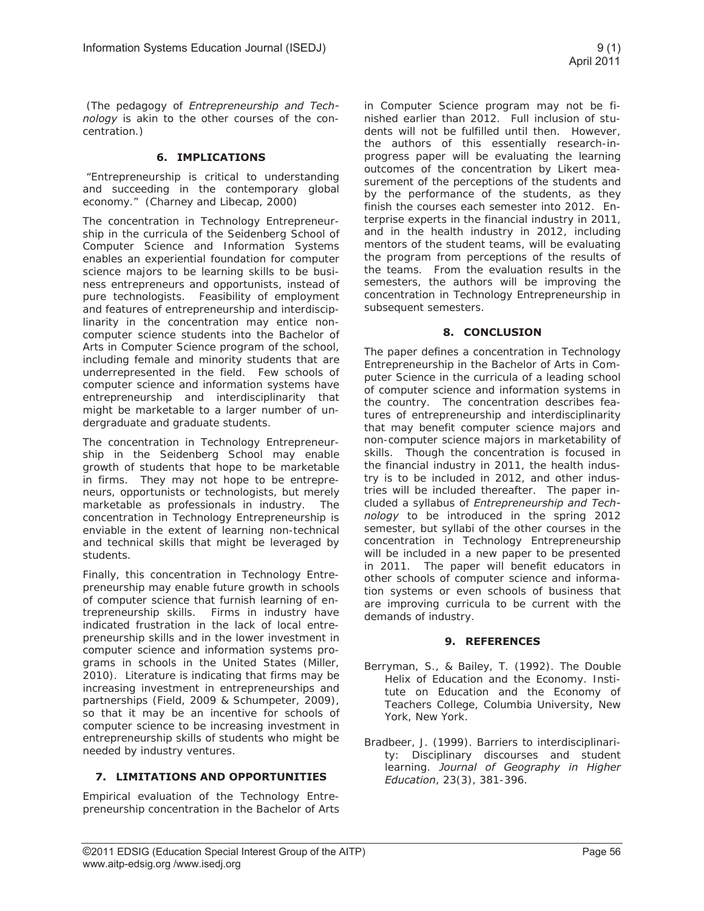(The pedagogy of *Entrepreneurship and Technology* is akin to the other courses of the concentration.)

#### **6. IMPLICATIONS**

"Entrepreneurship is critical to understanding and succeeding in the contemporary global economy." (Charney and Libecap, 2000)

The concentration in Technology Entrepreneurship in the curricula of the Seidenberg School of Computer Science and Information Systems enables an experiential foundation for computer science majors to be learning skills to be business entrepreneurs and opportunists, instead of pure technologists. Feasibility of employment and features of entrepreneurship and interdisciplinarity in the concentration may entice noncomputer science students into the Bachelor of Arts in Computer Science program of the school, including female and minority students that are underrepresented in the field. Few schools of computer science and information systems have entrepreneurship and interdisciplinarity that might be marketable to a larger number of undergraduate and graduate students.

The concentration in Technology Entrepreneurship in the Seidenberg School may enable growth of students that hope to be marketable in firms. They may not hope to be entrepreneurs, opportunists or technologists, but merely marketable as professionals in industry. The concentration in Technology Entrepreneurship is enviable in the extent of learning non-technical and technical skills that might be leveraged by students.

Finally, this concentration in Technology Entrepreneurship may enable future growth in schools of computer science that furnish learning of entrepreneurship skills. Firms in industry have indicated frustration in the lack of local entrepreneurship skills and in the lower investment in computer science and information systems programs in schools in the United States (Miller, 2010). Literature is indicating that firms may be increasing investment in entrepreneurships and partnerships (Field, 2009 & Schumpeter, 2009), so that it may be an incentive for schools of computer science to be increasing investment in entrepreneurship skills of students who might be needed by industry ventures.

# **7. LIMITATIONS AND OPPORTUNITIES**

Empirical evaluation of the Technology Entrepreneurship concentration in the Bachelor of Arts

in Computer Science program may not be finished earlier than 2012. Full inclusion of students will not be fulfilled until then. However, the authors of this essentially research-inprogress paper will be evaluating the learning outcomes of the concentration by Likert measurement of the perceptions of the students and by the performance of the students, as they finish the courses each semester into 2012. Enterprise experts in the financial industry in 2011, and in the health industry in 2012, including mentors of the student teams, will be evaluating the program from perceptions of the results of the teams. From the evaluation results in the semesters, the authors will be improving the concentration in Technology Entrepreneurship in subsequent semesters.

#### **8. CONCLUSION**

The paper defines a concentration in Technology Entrepreneurship in the Bachelor of Arts in Computer Science in the curricula of a leading school of computer science and information systems in the country. The concentration describes features of entrepreneurship and interdisciplinarity that may benefit computer science majors and non-computer science majors in marketability of skills. Though the concentration is focused in the financial industry in 2011, the health industry is to be included in 2012, and other industries will be included thereafter. The paper included a syllabus of *Entrepreneurship and Technology* to be introduced in the spring 2012 semester, but syllabi of the other courses in the concentration in Technology Entrepreneurship will be included in a new paper to be presented in 2011. The paper will benefit educators in other schools of computer science and information systems or even schools of business that are improving curricula to be current with the demands of industry.

#### **9. REFERENCES**

- Berryman, S., & Bailey, T. (1992). The Double Helix of Education and the Economy. Institute on Education and the Economy of Teachers College, Columbia University, New York, New York.
- Bradbeer, J. (1999). Barriers to interdisciplinarity: Disciplinary discourses and student learning. *Journal of Geography in Higher Education*, 23(3), 381-396.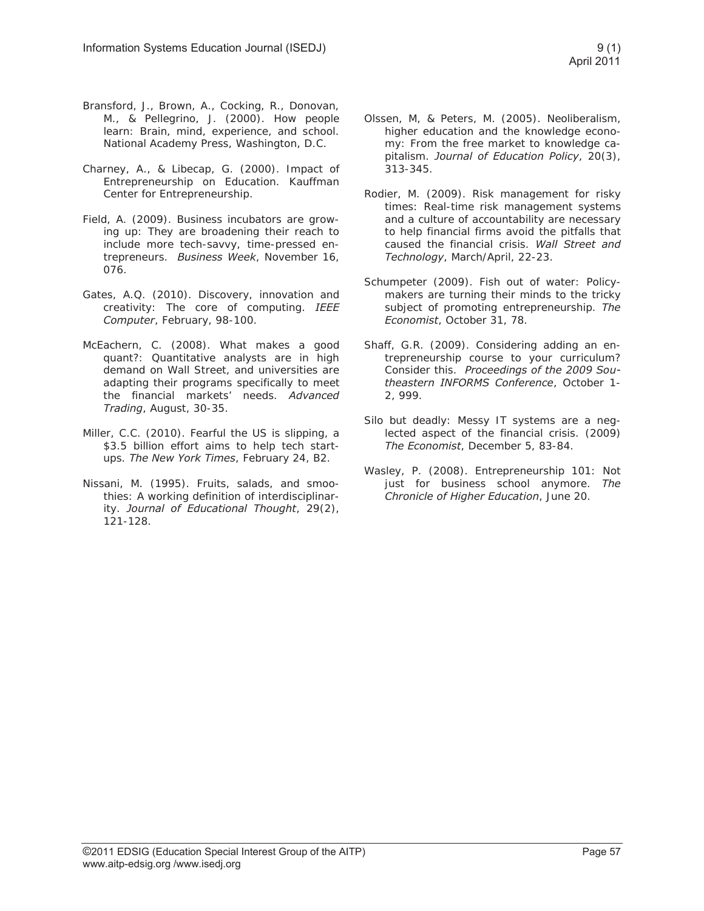- Bransford, J., Brown, A., Cocking, R., Donovan, M., & Pellegrino, J. (2000). How people learn: Brain, mind, experience, and school. National Academy Press, Washington, D.C.
- Charney, A., & Libecap, G. (2000). Impact of Entrepreneurship on Education. Kauffman Center for Entrepreneurship.
- Field, A. (2009). Business incubators are growing up: They are broadening their reach to include more tech-savvy, time-pressed entrepreneurs. *Business Week*, November 16, 076.
- Gates, A.Q. (2010). Discovery, innovation and creativity: The core of computing. *IEEE Computer*, February, 98-100.
- McEachern, C. (2008). What makes a good quant?: Quantitative analysts are in high demand on Wall Street, and universities are adapting their programs specifically to meet the financial markets' needs. *Advanced Trading*, August, 30-35.
- Miller, C.C. (2010). Fearful the US is slipping, a \$3.5 billion effort aims to help tech startups. *The New York Times*, February 24, B2.
- Nissani, M. (1995). Fruits, salads, and smoothies: A working definition of interdisciplinarity. *Journal of Educational Thought*, 29(2), 121-128.
- Olssen, M, & Peters, M. (2005). Neoliberalism, higher education and the knowledge economy: From the free market to knowledge capitalism. *Journal of Education Policy*, 20(3), 313-345.
- Rodier, M. (2009). Risk management for risky times: Real-time risk management systems and a culture of accountability are necessary to help financial firms avoid the pitfalls that caused the financial crisis. *Wall Street and Technology*, March/April, 22-23.
- Schumpeter (2009). Fish out of water: Policymakers are turning their minds to the tricky subject of promoting entrepreneurship. *The Economist*, October 31, 78.
- Shaff, G.R. (2009). Considering adding an entrepreneurship course to your curriculum? Consider this. *Proceedings of the 2009 Southeastern INFORMS Conference*, October 1- 2, 999.
- Silo but deadly: Messy IT systems are a neglected aspect of the financial crisis. (2009) *The Economist*, December 5, 83-84.
- Wasley, P. (2008). Entrepreneurship 101: Not just for business school anymore. *The Chronicle of Higher Education*, June 20.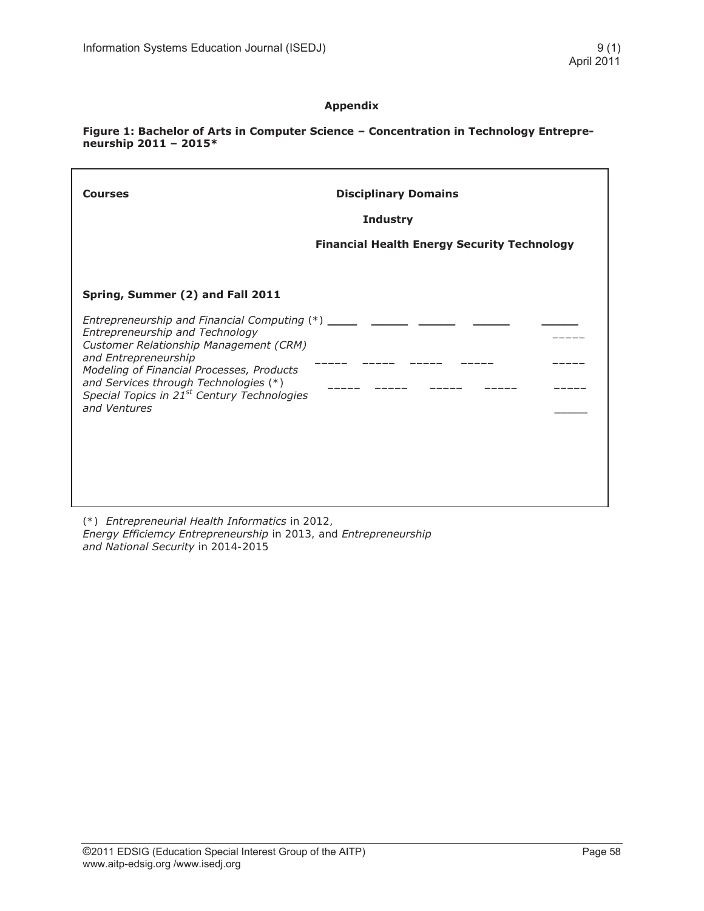#### **Appendix**

#### **Figure 1: Bachelor of Arts in Computer Science – Concentration in Technology Entrepreneurship 2011 – 2015\***

| <b>Courses</b>                                                                                                                                                                                                                                                                                                             | <b>Disciplinary Domains</b><br><b>Industry</b><br><b>Financial Health Energy Security Technology</b> |
|----------------------------------------------------------------------------------------------------------------------------------------------------------------------------------------------------------------------------------------------------------------------------------------------------------------------------|------------------------------------------------------------------------------------------------------|
| Spring, Summer (2) and Fall 2011                                                                                                                                                                                                                                                                                           |                                                                                                      |
| Entrepreneurship and Financial Computing $(*)$ _____<br>Entrepreneurship and Technology<br>Customer Relationship Management (CRM)<br>and Entrepreneurship<br>Modeling of Financial Processes, Products<br>and Services through Technologies (*)<br>Special Topics in 21 <sup>st</sup> Century Technologies<br>and Ventures |                                                                                                      |

(\*) *Entrepreneurial Health Informatics* in 2012, *Energy Efficiemcy Entrepreneurship* in 2013, and *Entrepreneurship and National Security* in 2014-2015